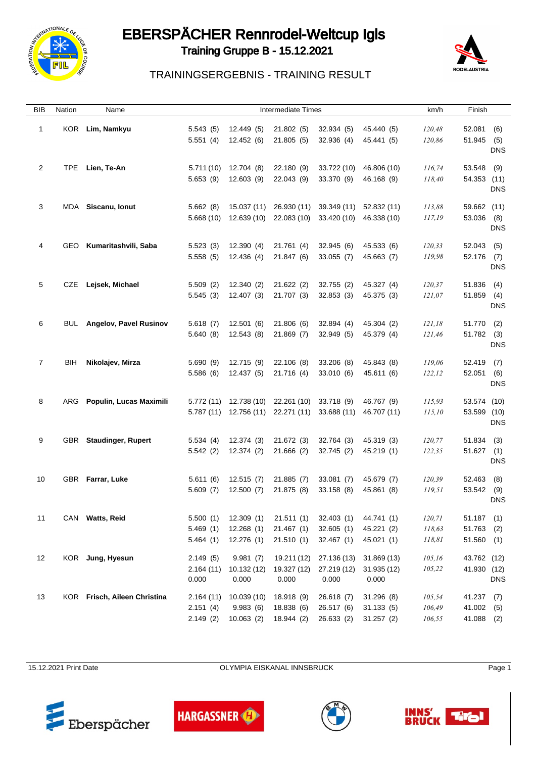

### EBERSPÄCHER Rennrodel-Weltcup Igls



Training Gruppe B - 15.12.2021

#### TRAININGSERGEBNIS - TRAINING RESULT

| BIB            | Nation | Name                          |                                   | Intermediate Times                   |                                                                                                 |                                        |                                        | km/h                       |                                            |                          |
|----------------|--------|-------------------------------|-----------------------------------|--------------------------------------|-------------------------------------------------------------------------------------------------|----------------------------------------|----------------------------------------|----------------------------|--------------------------------------------|--------------------------|
| $\mathbf{1}$   |        | KOR Lim, Namkyu               | 5.543(5)<br>5.551(4)              | 12.449 (5)<br>12.452(6)              | 21.802(5)<br>21.805(5)                                                                          | 32.934(5)<br>32.936(4)                 | 45.440 (5)<br>45.441 (5)               | 120,48<br>120,86           | 52.081<br>51.945                           | (6)<br>(5)<br><b>DNS</b> |
| $\overline{2}$ | TPE    | Lien, Te-An                   | 5.653(9)                          | 5.711 (10) 12.704 (8)<br>12.603 (9)  | 22.180 (9)<br>22.043 (9)                                                                        | 33.722 (10)<br>33.370 (9)              | 46.806 (10)<br>46.168 (9)              | 116,74<br>118,40           | 53.548<br>54.353 (11)                      | (9)<br><b>DNS</b>        |
| 3              |        | MDA Siscanu, Ionut            | 5.662(8)<br>5.668(10)             | 15.037 (11)<br>12.639 (10)           | 26.930 (11)                                                                                     | 39.349 (11)<br>22.083 (10) 33.420 (10) | 52.832 (11)<br>46.338 (10)             | 113,88<br>117,19           | 59.662 (11)<br>53.036 (8)                  | <b>DNS</b>               |
| 4              |        | GEO Kumaritashvili, Saba      | 5.523(3)<br>5.558(5)              | 12.390 (4)<br>12.436 (4)             | 21.761 (4)<br>21.847 (6)                                                                        | 32.945(6)<br>33.055(7)                 | 45.533 (6)<br>45.663 (7)               | 120,33<br>119,98           | 52.043<br>52.176 (7)                       | (5)<br><b>DNS</b>        |
| 5              |        | CZE Lejsek, Michael           | 5.509(2)<br>5.545(3)              | 12.340 (2)<br>12.407(3)              | 21.622(2)<br>21.707 (3)                                                                         | 32.755 (2)<br>32.853 (3)               | 45.327 (4)<br>45.375 (3)               | 120,37<br>121,07           | 51.836<br>51.859                           | (4)<br>(4)<br><b>DNS</b> |
| 6              | BUL    | <b>Angelov, Pavel Rusinov</b> | 5.618(7)<br>5.640(8)              | 12.501(6)<br>12.543(8)               | 21.806(6)<br>21.869(7)                                                                          | 32.894 (4)<br>32.949(5)                | 45.304 (2)<br>45.379 (4)               | 121,18<br>121,46           | 51.770<br>51.782                           | (2)<br>(3)<br><b>DNS</b> |
| 7              | BIH    | Nikolajev, Mirza              | 5.690(9)<br>5.586(6)              | 12.715 (9)<br>12.437 (5)             | 22.106 (8)<br>21.716 (4)                                                                        | 33.206 (8)<br>33.010(6)                | 45.843 (8)<br>45.611 (6)               | 119,06<br>122, 12          | 52.419<br>52.051 (6)                       | (7)<br><b>DNS</b>        |
| 8              |        | ARG Populin, Lucas Maximili   |                                   |                                      | 5.772 (11) 12.738 (10) 22.261 (10) 33.718 (9)<br>5.787 (11) 12.756 (11) 22.271 (11) 33.688 (11) |                                        | 46.767 (9)<br>46.707 (11)              | 115,93<br>115,10           | 53.574 (10)<br>53.599 (10)                 | <b>DNS</b>               |
| 9              |        | GBR Staudinger, Rupert        | 5.534(4)<br>5.542(2)              | 12.374 (3)<br>12.374 (2)             | 21.672 (3)<br>21.666(2)                                                                         | 32.764 (3)<br>32.745 (2)               | 45.319 (3)<br>45.219 (1)               | 120,77<br>122,35           | 51.834<br>$51.627$ (1)                     | (3)<br><b>DNS</b>        |
| 10             |        | GBR Farrar, Luke              | 5.611(6)<br>5.609(7)              | 12.515(7)<br>12.500(7)               | 21.885(7)<br>21.875 (8)                                                                         | 33.081(7)<br>33.158(8)                 | 45.679 (7)<br>45.861 (8)               | 120,39<br>119,51           | 52.463<br>53.542                           | (8)<br>(9)<br><b>DNS</b> |
| 11             |        | CAN Watts, Reid               | 5.500(1)<br>5.469(1)<br>5.464(1)  | 12.309(1)<br>12.268(1)<br>12.276(1)  | 21.511(1)<br>21.467(1)<br>21.510(1)                                                             | 32.403(1)<br>32.605(1)<br>32.467(1)    | 44.741 (1)<br>45.221 (2)<br>45.021 (1) | 120,71<br>118,63<br>118,81 | $51.187$ (1)<br>51.763 (2)<br>$51.560$ (1) |                          |
| 12             |        | KOR Jung, Hyesun              | 2.149(5)<br>2.164(11)<br>0.000    | 9.981(7)<br>10.132 (12)<br>0.000     | 19.211 (12)<br>19.327 (12)<br>0.000                                                             | 27.136 (13)<br>27.219 (12)<br>0.000    | 31.869 (13)<br>31.935 (12)<br>0.000    | 105,16<br>105,22           | 43.762 (12)<br>41.930 (12)                 | <b>DNS</b>               |
| 13             |        | KOR Frisch, Aileen Christina  | 2.164(11)<br>2.151(4)<br>2.149(2) | 10.039 (10)<br>9.983(6)<br>10.063(2) | 18.918 (9)<br>18.838 (6)<br>18.944 (2)                                                          | 26.618 (7)<br>26.517 (6)<br>26.633 (2) | 31.296(8)<br>31.133(5)<br>31.257(2)    | 105,54<br>106,49<br>106,55 | $41.237$ (7)<br>41.002 (5)<br>41.088 (2)   |                          |

15.12.2021 Print Date **Date COLYMPIA EISKANAL INNSBRUCK** Page 1







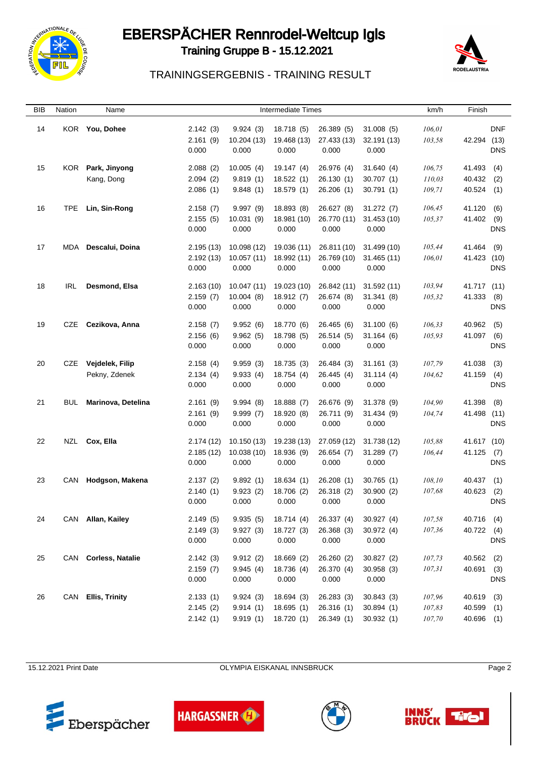

# EBERSPÄCHER Rennrodel-Weltcup Igls





#### TRAININGSERGEBNIS - TRAINING RESULT

| BIB | Nation     | Name                 |           |             | <b>Intermediate Times</b> |             |             | km/h   | Finish      |            |
|-----|------------|----------------------|-----------|-------------|---------------------------|-------------|-------------|--------|-------------|------------|
| 14  |            | KOR You, Dohee       | 2.142(3)  | 9.924(3)    | 18.718 (5)                | 26.389 (5)  | 31.008(5)   | 106,01 |             | DNF        |
|     |            |                      | 2.161(9)  | 10.204 (13) | 19.468 (13)               | 27.433 (13) | 32.191 (13) | 103,58 | 42.294      | (13)       |
|     |            |                      | 0.000     | 0.000       | 0.000                     | 0.000       | 0.000       |        |             | <b>DNS</b> |
| 15  | KOR.       | Park, Jinyong        | 2.088(2)  | 10.005(4)   | 19.147 (4)                | 26.976 (4)  | 31.640(4)   | 106,75 | 41.493      | (4)        |
|     |            | Kang, Dong           | 2.094(2)  | 9.819(1)    | 18.522(1)                 | 26.130(1)   | 30.707(1)   | 110,03 | 40.432      | (2)        |
|     |            |                      | 2.086(1)  | 9.848(1)    | 18.579 (1)                | 26.206(1)   | 30.791(1)   | 109,71 | 40.524      | (1)        |
|     |            |                      |           |             |                           |             |             |        |             |            |
| 16  | <b>TPE</b> | Lin, Sin-Rong        | 2.158(7)  | 9.997(9)    | 18.893 (8)                | 26.627 (8)  | 31.272(7)   | 106,45 | 41.120      | (6)        |
|     |            |                      | 2.155(5)  | 10.031 (9)  | 18.981 (10)               | 26.770 (11) | 31.453 (10) | 105,37 | 41.402      | (9)        |
|     |            |                      | 0.000     | 0.000       | 0.000                     | 0.000       | 0.000       |        |             | <b>DNS</b> |
| 17  | MDA        | Descalui, Doina      | 2.195(13) | 10.098 (12) | 19.036 (11)               | 26.811 (10) | 31.499 (10) | 105,44 | 41.464      | (9)        |
|     |            |                      | 2.192(13) | 10.057(11)  | 18.992 (11)               | 26.769 (10) | 31.465 (11) | 106,01 | 41.423 (10) |            |
|     |            |                      | 0.000     | 0.000       | 0.000                     | 0.000       | 0.000       |        |             | <b>DNS</b> |
|     |            |                      |           |             |                           |             |             |        |             |            |
| 18  | IRL        | Desmond, Elsa        | 2.163(10) | 10.047(11)  | 19.023 (10)               | 26.842 (11) | 31.592 (11) | 103,94 | 41.717 (11) |            |
|     |            |                      | 2.159(7)  | 10.004(8)   | 18.912(7)                 | 26.674 (8)  | 31.341(8)   | 105,32 | 41.333      | (8)        |
|     |            |                      | 0.000     | 0.000       | 0.000                     | 0.000       | 0.000       |        |             | <b>DNS</b> |
| 19  | CZE        | Cezikova, Anna       | 2.158(7)  | 9.952(6)    | 18.770 (6)                | 26.465 (6)  | 31.100(6)   | 106,33 | 40.962      | (5)        |
|     |            |                      | 2.156(6)  | 9.962(5)    | 18.798 (5)                | 26.514 (5)  | 31.164(6)   | 105,93 | 41.097      | (6)        |
|     |            |                      | 0.000     | 0.000       | 0.000                     | 0.000       | 0.000       |        |             | <b>DNS</b> |
|     |            |                      |           |             |                           |             |             |        |             |            |
| 20  | CZE        | Vejdelek, Filip      | 2.158(4)  | 9.959(3)    | 18.735 (3)                | 26.484 (3)  | 31.161(3)   | 107,79 | 41.038      | (3)        |
|     |            | Pekny, Zdenek        | 2.134(4)  | 9.933(4)    | 18.754 (4)                | 26.445 (4)  | 31.114(4)   | 104,62 | 41.159      | (4)        |
|     |            |                      | 0.000     | 0.000       | 0.000                     | 0.000       | 0.000       |        |             | <b>DNS</b> |
| 21  | BUL        | Marinova, Detelina   | 2.161(9)  | 9.994(8)    | 18.888 (7)                | 26.676 (9)  | 31.378 (9)  | 104,90 | 41.398      | (8)        |
|     |            |                      | 2.161(9)  | 9.999(7)    | 18.920 (8)                | 26.711 (9)  | 31.434(9)   | 104,74 | 41.498 (11) |            |
|     |            |                      | 0.000     | 0.000       | 0.000                     | 0.000       | 0.000       |        |             | <b>DNS</b> |
| 22  |            | NZL Cox, Ella        | 2.174(12) | 10.150(13)  | 19.238 (13)               | 27.059 (12) | 31.738 (12) | 105,88 | 41.617 (10) |            |
|     |            |                      | 2.185(12) | 10.038 (10) | 18.936 (9)                | 26.654 (7)  | 31.289(7)   | 106,44 | 41.125      | (7)        |
|     |            |                      | 0.000     | 0.000       | 0.000                     | 0.000       | 0.000       |        |             | <b>DNS</b> |
|     |            |                      |           |             |                           |             |             |        |             |            |
| 23  |            | CAN Hodgson, Makena  | 2.137(2)  | 9.892(1)    | 18.634(1)                 | 26.208(1)   | 30.765(1)   | 108,10 | 40.437      | (1)        |
|     |            |                      | 2.140(1)  | 9.923(2)    | 18.706 (2)                | 26.318 (2)  | 30.900(2)   | 107,68 | 40.623      | (2)        |
|     |            |                      | 0.000     | 0.000       | 0.000                     | 0.000       | 0.000       |        |             | <b>DNS</b> |
| 24  |            | CAN Allan, Kailey    | 2.149(5)  | 9.935(5)    | 18.714(4)                 | 26.337 (4)  | 30.927(4)   | 107,58 | 40.716 (4)  |            |
|     |            |                      | 2.149(3)  | 9.927(3)    | 18.727 (3)                | 26.368 (3)  | 30.972 (4)  | 107,36 | 40.722 (4)  |            |
|     |            |                      | 0.000     | 0.000       | 0.000                     | 0.000       | 0.000       |        |             | <b>DNS</b> |
| 25  |            | CAN Corless, Natalie | 2.142(3)  | 9.912(2)    | 18.669 (2)                | 26.260 (2)  | 30.827(2)   | 107,73 | 40.562      | (2)        |
|     |            |                      | 2.159(7)  | 9.945(4)    | 18.736 (4)                | 26.370 (4)  | 30.958(3)   | 107,31 | 40.691 (3)  |            |
|     |            |                      | 0.000     | 0.000       | 0.000                     | 0.000       | 0.000       |        |             | <b>DNS</b> |
|     |            |                      |           |             |                           |             |             |        |             |            |
| 26  |            | CAN Ellis, Trinity   | 2.133(1)  | 9.924(3)    | 18.694 (3)                | 26.283 (3)  | 30.843(3)   | 107,96 | 40.619      | (3)        |
|     |            |                      | 2.145(2)  | 9.914(1)    | 18.695(1)                 | 26.316 (1)  | 30.894(1)   | 107,83 | 40.599 (1)  |            |
|     |            |                      | 2.142(1)  | 9.919(1)    | 18.720 (1)                | 26.349 (1)  | 30.932(1)   | 107,70 | 40.696 (1)  |            |

15.12.2021 Print Date **OLYMPIA EISKANAL INNSBRUCK** Page 2